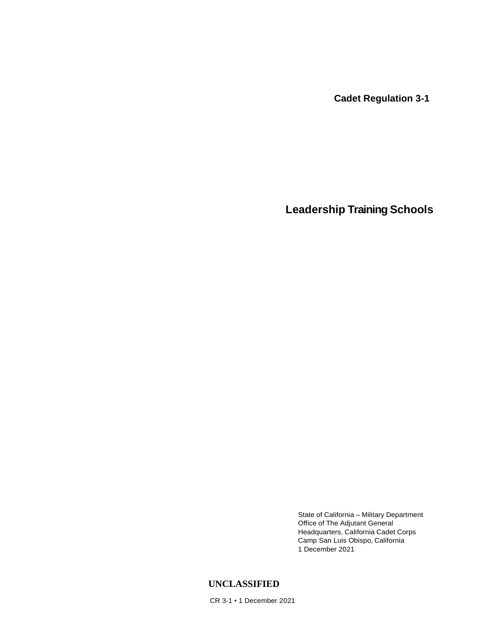**Cadet Regulation 3-1**

**Leadership Training Schools**

State of California – Military Department Office of The Adjutant General Headquarters, California Cadet Corps Camp San Luis Obispo, California 1 December 2021

# **UNCLASSIFIED**

CR 3-1 • 1 December 2021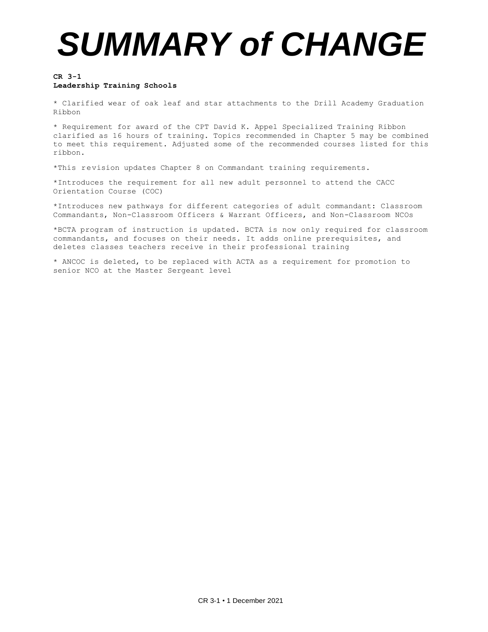# *SUMMARY of CHANGE*

#### **CR 3-1 Leadership Training Schools**

\* Clarified wear of oak leaf and star attachments to the Drill Academy Graduation Ribbon

\* Requirement for award of the CPT David K. Appel Specialized Training Ribbon clarified as 16 hours of training. Topics recommended in Chapter 5 may be combined to meet this requirement. Adjusted some of the recommended courses listed for this ribbon.

\*This revision updates Chapter 8 on Commandant training requirements.

\*Introduces the requirement for all new adult personnel to attend the CACC Orientation Course (COC)

\*Introduces new pathways for different categories of adult commandant: Classroom Commandants, Non-Classroom Officers & Warrant Officers, and Non-Classroom NCOs

\*BCTA program of instruction is updated. BCTA is now only required for classroom commandants, and focuses on their needs. It adds online prerequisites, and deletes classes teachers receive in their professional training

\* ANCOC is deleted, to be replaced with ACTA as a requirement for promotion to senior NCO at the Master Sergeant level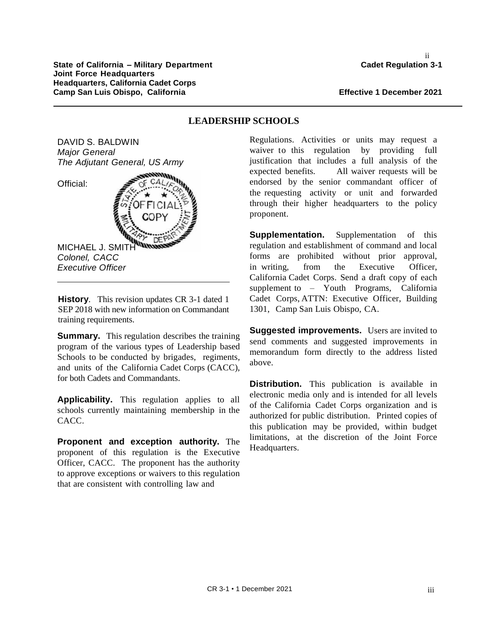ii

**LEADERSHIP SCHOOLS**

DAVID S. BALDWIN *Major General The Adjutant General, US Army*

Official:

MICHAEL J. SMITH *Colonel, CACC Executive Officer* 

**History**. This revision updates CR 3-1 dated 1 SEP 2018 with new information on Commandant training requirements.

**Summary.** This regulation describes the training program of the various types of Leadership based Schools to be conducted by brigades, regiments, and units of the California Cadet Corps (CACC), for both Cadets and Commandants.

**Applicability.** This regulation applies to all schools currently maintaining membership in the CACC.

**Proponent and exception authority.** The proponent of this regulation is the Executive Officer, CACC. The proponent has the authority to approve exceptions or waivers to this regulation that are consistent with controlling law and

## Regulations. Activities or units may request a waiver to this regulation by providing full justification that includes a full analysis of the expected benefits. All waiver requests will be endorsed by the senior commandant officer of the requesting activity or unit and forwarded through their higher headquarters to the policy proponent.

**Supplementation.** Supplementation of this regulation and establishment of command and local forms are prohibited without prior approval, in writing, from the Executive Officer, California Cadet Corps. Send a draft copy of each supplement to – Youth Programs, California Cadet Corps, ATTN: Executive Officer, Building 1301, Camp San Luis Obispo, CA.

**Suggested improvements.** Users are invited to send comments and suggested improvements in memorandum form directly to the address listed above.

**Distribution.** This publication is available in electronic media only and is intended for all levels of the California Cadet Corps organization and is authorized for public distribution. Printed copies of this publication may be provided, within budget limitations, at the discretion of the Joint Force Headquarters.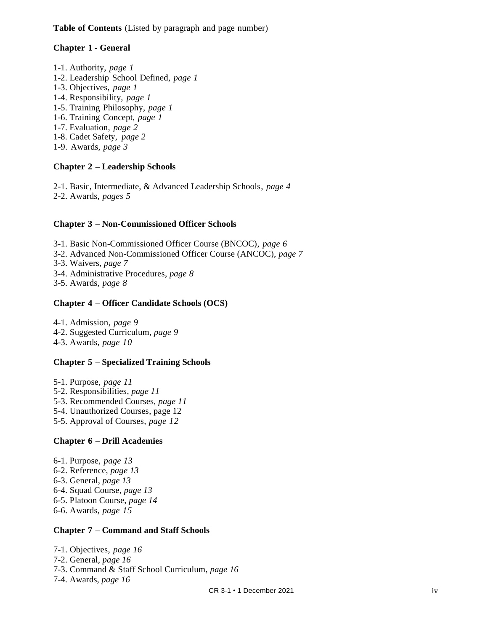**Table of Contents** (Listed by paragraph and page number)

## **Chapter 1 - General**

- 1-1. Authority, *page 1*
- 1-2. Leadership School Defined, *page 1*
- 1-3. Objectives, *page 1*
- 1-4. Responsibility, *page 1*
- 1-5. Training Philosophy, *page 1*
- 1-6. Training Concept, *page 1*
- 1-7. Evaluation*, page 2*
- 1-8. Cadet Safety, *page 2*
- 1-9. Awards*, page 3*

## **Chapter 2 – Leadership Schools**

2-1. Basic, Intermediate, & Advanced Leadership Schools, *page 4*

2-2. Awards*, pages 5*

## **Chapter 3 – Non-Commissioned Officer Schools**

3-1. Basic Non-Commissioned Officer Course (BNCOC), *page 6*

- 3-2. Advanced Non-Commissioned Officer Course (ANCOC), *page 7*
- 3-3. Waivers, *page 7*
- 3-4. Administrative Procedures, *page 8*
- 3-5. Awards*, page 8*

## **Chapter 4 – Officer Candidate Schools (OCS)**

4-1. Admission, *page 9* 4-2. Suggested Curriculum, *page 9* 4-3. Awards*, page 10*

# **Chapter 5 – Specialized Training Schools**

- 5-1. Purpose, *page 11*
- 5-2. Responsibilities, *page 11*
- 5-3. Recommended Courses, *page 11*
- 5-4. Unauthorized Courses, page 12
- 5-5. Approval of Courses*, page 12*

# **Chapter 6 – Drill Academies**

- 6-1. Purpose, *page 13*
- 6-2. Reference, *page 13*
- 6-3. General, *page 13*
- 6-4. Squad Course, *page 13*
- 6-5. Platoon Course, *page 14*
- 6-6. Awards*, page 15*

## **Chapter 7 – Command and Staff Schools**

7-1. Objectives, *page 16* 7-2. General, *page 16*

- 7-3. Command & Staff School Curriculum, *page 16*
- 7-4. Awards, *page 16*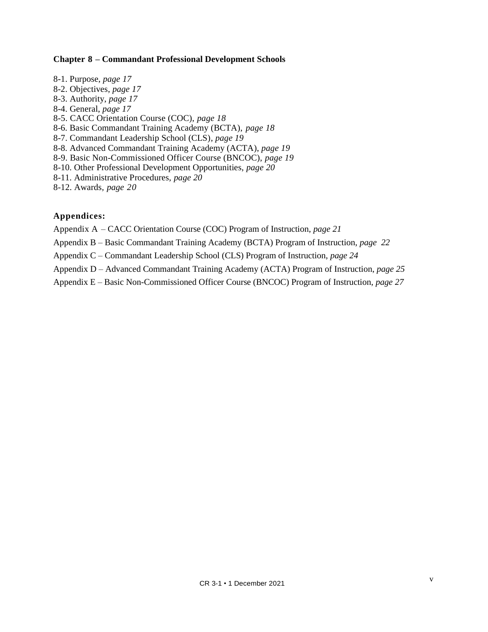#### **Chapter 8 – Commandant Professional Development Schools**

- 8-1. Purpose, *page 17*
- 8-2. Objectives, *page 17*
- 8-3. Authority, *page 17*
- 8-4. General, *page 17*
- 8-5. CACC Orientation Course (COC), *page 18*
- 8-6. Basic Commandant Training Academy (BCTA), *page 18*
- 8-7. Commandant Leadership School (CLS), *page 19*
- 8-8. Advanced Commandant Training Academy (ACTA), *page 19*
- 8-9. Basic Non-Commissioned Officer Course (BNCOC), *page 19*
- 8-10. Other Professional Development Opportunities, *page 20*
- 8-11. Administrative Procedures, *page 20*
- 8-12. Awards*, page 20*

#### **Appendices:**

- Appendix A CACC Orientation Course (COC) Program of Instruction, *page 21*
- Appendix B Basic Commandant Training Academy (BCTA) Program of Instruction, *page 22*
- Appendix C Commandant Leadership School (CLS) Program of Instruction, *page 24*
- Appendix D Advanced Commandant Training Academy (ACTA) Program of Instruction, *page 25*
- Appendix E Basic Non-Commissioned Officer Course (BNCOC) Program of Instruction, *page 27*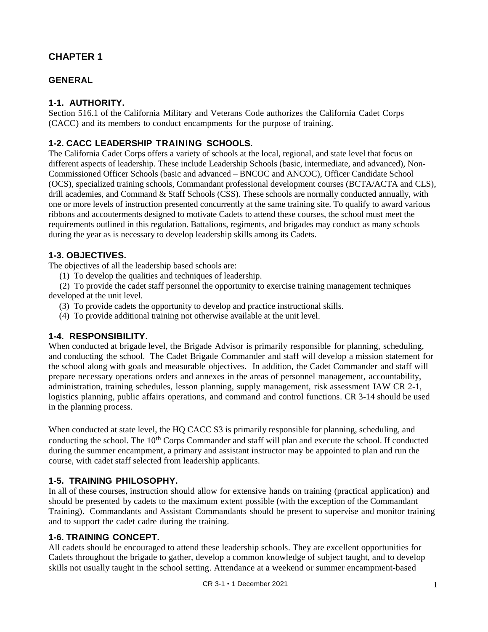## **GENERAL**

## **1-1. AUTHORITY.**

Section 516.1 of the California Military and Veterans Code authorizes the California Cadet Corps (CACC) and its members to conduct encampments for the purpose of training.

## **1-2. CACC LEADERSHIP TRAINING SCHOOLS.**

The California Cadet Corps offers a variety of schools at the local, regional, and state level that focus on different aspects of leadership. These include Leadership Schools (basic, intermediate, and advanced), Non-Commissioned Officer Schools (basic and advanced – BNCOC and ANCOC), Officer Candidate School (OCS), specialized training schools, Commandant professional development courses (BCTA/ACTA and CLS), drill academies, and Command & Staff Schools (CSS). These schools are normally conducted annually, with one or more levels of instruction presented concurrently at the same training site. To qualify to award various ribbons and accouterments designed to motivate Cadets to attend these courses, the school must meet the requirements outlined in this regulation. Battalions, regiments, and brigades may conduct as many schools during the year as is necessary to develop leadership skills among its Cadets.

## **1-3. OBJECTIVES.**

The objectives of all the leadership based schools are:

(1) To develop the qualities and techniques of leadership.

(2) To provide the cadet staff personnel the opportunity to exercise training management techniques developed at the unit level.

- (3) To provide cadets the opportunity to develop and practice instructional skills.
- (4) To provide additional training not otherwise available at the unit level.

## **1-4. RESPONSIBILITY.**

When conducted at brigade level, the Brigade Advisor is primarily responsible for planning, scheduling, and conducting the school. The Cadet Brigade Commander and staff will develop a mission statement for the school along with goals and measurable objectives. In addition, the Cadet Commander and staff will prepare necessary operations orders and annexes in the areas of personnel management, accountability, administration, training schedules, lesson planning, supply management, risk assessment IAW CR 2-1, logistics planning, public affairs operations, and command and control functions. CR 3-14 should be used in the planning process.

When conducted at state level, the HQ CACC S3 is primarily responsible for planning, scheduling, and conducting the school. The 10<sup>th</sup> Corps Commander and staff will plan and execute the school. If conducted during the summer encampment, a primary and assistant instructor may be appointed to plan and run the course, with cadet staff selected from leadership applicants.

# **1-5. TRAINING PHILOSOPHY.**

In all of these courses, instruction should allow for extensive hands on training (practical application) and should be presented by cadets to the maximum extent possible (with the exception of the Commandant Training). Commandants and Assistant Commandants should be present to supervise and monitor training and to support the cadet cadre during the training.

## **1-6. TRAINING CONCEPT.**

All cadets should be encouraged to attend these leadership schools. They are excellent opportunities for Cadets throughout the brigade to gather, develop a common knowledge of subject taught, and to develop skills not usually taught in the school setting. Attendance at a weekend or summer encampment-based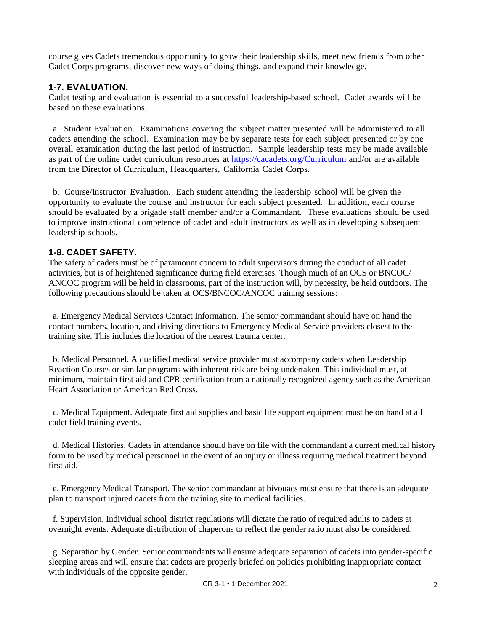course gives Cadets tremendous opportunity to grow their leadership skills, meet new friends from other Cadet Corps programs, discover new ways of doing things, and expand their knowledge.

## **1-7. EVALUATION.**

Cadet testing and evaluation is essential to a successful leadership-based school. Cadet awards will be based on these evaluations.

a*.* Student Evaluation. Examinations covering the subject matter presented will be administered to all cadets attending the school. Examination may be by separate tests for each subject presented or by one overall examination during the last period of instruction. Sample leadership tests may be made available as part of the online cadet curriculum resources at<https://cacadets.org/Curriculum> and/or are available from the Director of Curriculum, Headquarters, California Cadet Corps.

b*.* Course/Instructor Evaluation. Each student attending the leadership school will be given the opportunity to evaluate the course and instructor for each subject presented. In addition, each course should be evaluated by a brigade staff member and/or a Commandant. These evaluations should be used to improve instructional competence of cadet and adult instructors as well as in developing subsequent leadership schools.

## **1-8. CADET SAFETY.**

The safety of cadets must be of paramount concern to adult supervisors during the conduct of all cadet activities, but is of heightened significance during field exercises. Though much of an OCS or BNCOC/ ANCOC program will be held in classrooms, part of the instruction will, by necessity, be held outdoors. The following precautions should be taken at OCS/BNCOC/ANCOC training sessions:

a. Emergency Medical Services Contact Information. The senior commandant should have on hand the contact numbers, location, and driving directions to Emergency Medical Service providers closest to the training site. This includes the location of the nearest trauma center.

b. Medical Personnel. A qualified medical service provider must accompany cadets when Leadership Reaction Courses or similar programs with inherent risk are being undertaken. This individual must, at minimum, maintain first aid and CPR certification from a nationally recognized agency such as the American Heart Association or American Red Cross.

c. Medical Equipment. Adequate first aid supplies and basic life support equipment must be on hand at all cadet field training events.

d. Medical Histories. Cadets in attendance should have on file with the commandant a current medical history form to be used by medical personnel in the event of an injury or illness requiring medical treatment beyond first aid.

e. Emergency Medical Transport. The senior commandant at bivouacs must ensure that there is an adequate plan to transport injured cadets from the training site to medical facilities.

f. Supervision. Individual school district regulations will dictate the ratio of required adults to cadets at overnight events. Adequate distribution of chaperons to reflect the gender ratio must also be considered.

g. Separation by Gender. Senior commandants will ensure adequate separation of cadets into gender-specific sleeping areas and will ensure that cadets are properly briefed on policies prohibiting inappropriate contact with individuals of the opposite gender.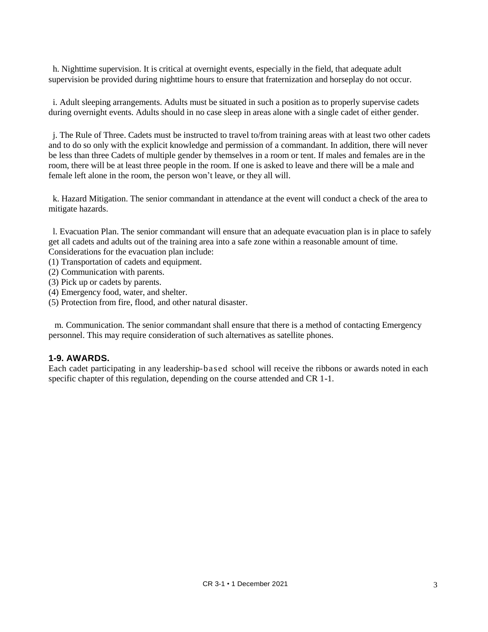h. Nighttime supervision. It is critical at overnight events, especially in the field, that adequate adult supervision be provided during nighttime hours to ensure that fraternization and horseplay do not occur.

i. Adult sleeping arrangements. Adults must be situated in such a position as to properly supervise cadets during overnight events. Adults should in no case sleep in areas alone with a single cadet of either gender.

j. The Rule of Three. Cadets must be instructed to travel to/from training areas with at least two other cadets and to do so only with the explicit knowledge and permission of a commandant. In addition, there will never be less than three Cadets of multiple gender by themselves in a room or tent. If males and females are in the room, there will be at least three people in the room. If one is asked to leave and there will be a male and female left alone in the room, the person won't leave, or they all will.

k. Hazard Mitigation. The senior commandant in attendance at the event will conduct a check of the area to mitigate hazards.

l. Evacuation Plan. The senior commandant will ensure that an adequate evacuation plan is in place to safely get all cadets and adults out of the training area into a safe zone within a reasonable amount of time. Considerations for the evacuation plan include:

- (1) Transportation of cadets and equipment.
- (2) Communication with parents.
- (3) Pick up or cadets by parents.
- (4) Emergency food, water, and shelter.
- (5) Protection from fire, flood, and other natural disaster.

 m. Communication. The senior commandant shall ensure that there is a method of contacting Emergency personnel. This may require consideration of such alternatives as satellite phones.

#### **1-9. AWARDS.**

Each cadet participating in any leadership-based school will receive the ribbons or awards noted in each specific chapter of this regulation, depending on the course attended and CR 1-1.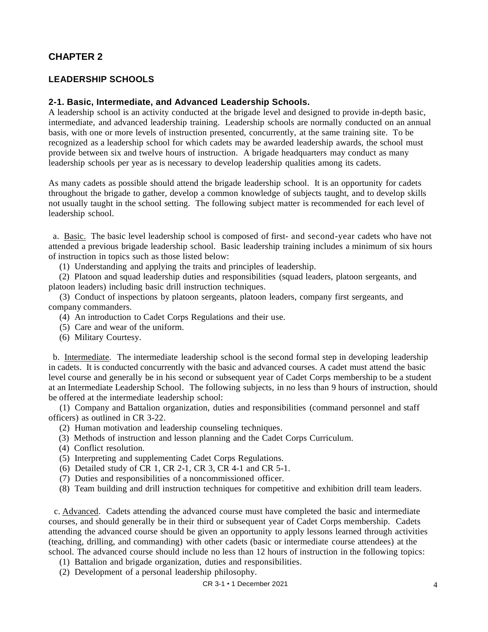## **LEADERSHIP SCHOOLS**

#### **2-1. Basic, Intermediate, and Advanced Leadership Schools.**

A leadership school is an activity conducted at the brigade level and designed to provide in-depth basic, intermediate, and advanced leadership training. Leadership schools are normally conducted on an annual basis, with one or more levels of instruction presented, concurrently, at the same training site. To be recognized as a leadership school for which cadets may be awarded leadership awards, the school must provide between six and twelve hours of instruction. A brigade headquarters may conduct as many leadership schools per year as is necessary to develop leadership qualities among its cadets.

As many cadets as possible should attend the brigade leadership school. It is an opportunity for cadets throughout the brigade to gather, develop a common knowledge of subjects taught, and to develop skills not usually taught in the school setting. The following subject matter is recommended for each level of leadership school.

a. Basic. The basic level leadership school is composed of first- and second-year cadets who have not attended a previous brigade leadership school. Basic leadership training includes a minimum of six hours of instruction in topics such as those listed below:

(1) Understanding and applying the traits and principles of leadership.

(2) Platoon and squad leadership duties and responsibilities (squad leaders, platoon sergeants, and platoon leaders) including basic drill instruction techniques.

(3) Conduct of inspections by platoon sergeants, platoon leaders, company first sergeants, and company commanders.

(4) An introduction to Cadet Corps Regulations and their use.

(5) Care and wear of the uniform.

(6) Military Courtesy.

b. Intermediate. The intermediate leadership school is the second formal step in developing leadership in cadets. It is conducted concurrently with the basic and advanced courses. A cadet must attend the basic level course and generally be in his second or subsequent year of Cadet Corps membership to be a student at an Intermediate Leadership School. The following subjects, in no less than 9 hours of instruction, should be offered at the intermediate leadership school:

(1) Company and Battalion organization, duties and responsibilities (command personnel and staff officers) as outlined in CR 3-22.

- (2) Human motivation and leadership counseling techniques.
- (3) Methods of instruction and lesson planning and the Cadet Corps Curriculum.
- (4) Conflict resolution.
- (5) Interpreting and supplementing Cadet Corps Regulations.
- (6) Detailed study of CR 1, CR 2-1, CR 3, CR 4-1 and CR 5-1.
- (7) Duties and responsibilities of a noncommissioned officer.
- (8) Team building and drill instruction techniques for competitive and exhibition drill team leaders.

c. Advanced. Cadets attending the advanced course must have completed the basic and intermediate courses, and should generally be in their third or subsequent year of Cadet Corps membership. Cadets attending the advanced course should be given an opportunity to apply lessons learned through activities (teaching, drilling, and commanding) with other cadets (basic or intermediate course attendees) at the school. The advanced course should include no less than 12 hours of instruction in the following topics:

(1) Battalion and brigade organization, duties and responsibilities.

(2) Development of a personal leadership philosophy.

CR 3-1 • 1 December 2021 4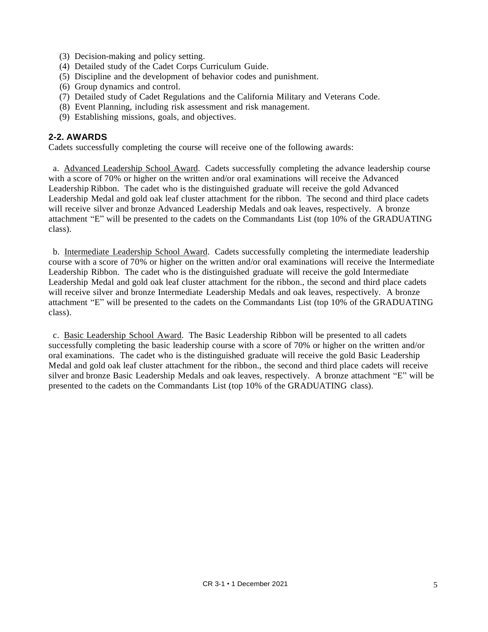- (3) Decision-making and policy setting.
- (4) Detailed study of the Cadet Corps Curriculum Guide.
- (5) Discipline and the development of behavior codes and punishment.
- (6) Group dynamics and control.
- (7) Detailed study of Cadet Regulations and the California Military and Veterans Code.
- (8) Event Planning, including risk assessment and risk management.
- (9) Establishing missions, goals, and objectives.

## **2-2. AWARDS**

Cadets successfully completing the course will receive one of the following awards:

a. Advanced Leadership School Award. Cadets successfully completing the advance leadership course with a score of 70% or higher on the written and/or oral examinations will receive the Advanced Leadership Ribbon. The cadet who is the distinguished graduate will receive the gold Advanced Leadership Medal and gold oak leaf cluster attachment for the ribbon. The second and third place cadets will receive silver and bronze Advanced Leadership Medals and oak leaves, respectively. A bronze attachment "E" will be presented to the cadets on the Commandants List (top 10% of the GRADUATING class).

b. Intermediate Leadership School Award. Cadets successfully completing the intermediate leadership course with a score of 70% or higher on the written and/or oral examinations will receive the Intermediate Leadership Ribbon. The cadet who is the distinguished graduate will receive the gold Intermediate Leadership Medal and gold oak leaf cluster attachment for the ribbon., the second and third place cadets will receive silver and bronze Intermediate Leadership Medals and oak leaves, respectively. A bronze attachment "E" will be presented to the cadets on the Commandants List (top 10% of the GRADUATING class).

c. Basic Leadership School Award. The Basic Leadership Ribbon will be presented to all cadets successfully completing the basic leadership course with a score of 70% or higher on the written and/or oral examinations. The cadet who is the distinguished graduate will receive the gold Basic Leadership Medal and gold oak leaf cluster attachment for the ribbon., the second and third place cadets will receive silver and bronze Basic Leadership Medals and oak leaves, respectively. A bronze attachment "E" will be presented to the cadets on the Commandants List (top 10% of the GRADUATING class).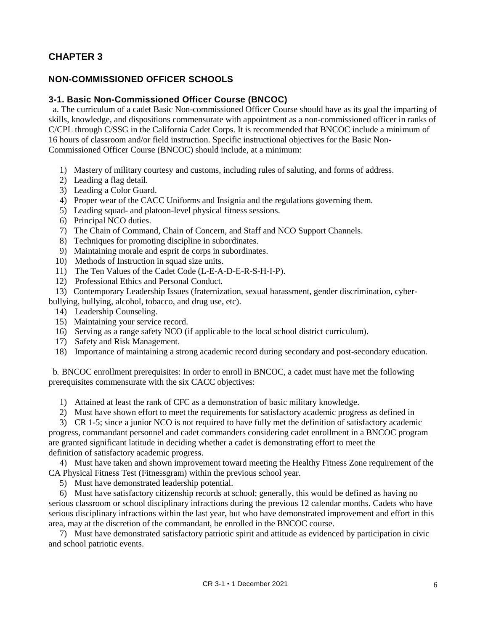## **NON-COMMISSIONED OFFICER SCHOOLS**

## **3-1. Basic Non-Commissioned Officer Course (BNCOC)**

a. The curriculum of a cadet Basic Non-commissioned Officer Course should have as its goal the imparting of skills, knowledge, and dispositions commensurate with appointment as a non-commissioned officer in ranks of C/CPL through C/SSG in the California Cadet Corps. It is recommended that BNCOC include a minimum of 16 hours of classroom and/or field instruction. Specific instructional objectives for the Basic Non-Commissioned Officer Course (BNCOC) should include, at a minimum:

- 1) Mastery of military courtesy and customs, including rules of saluting, and forms of address.
- 2) Leading a flag detail.
- 3) Leading a Color Guard.
- 4) Proper wear of the CACC Uniforms and Insignia and the regulations governing them.
- 5) Leading squad- and platoon-level physical fitness sessions.
- 6) Principal NCO duties.
- 7) The Chain of Command, Chain of Concern, and Staff and NCO Support Channels.
- 8) Techniques for promoting discipline in subordinates.
- 9) Maintaining morale and esprit de corps in subordinates.
- 10) Methods of Instruction in squad size units.
- 11) The Ten Values of the Cadet Code (L-E-A-D-E-R-S-H-I-P).
- 12) Professional Ethics and Personal Conduct.
- 13) Contemporary Leadership Issues (fraternization, sexual harassment, gender discrimination, cyber-

bullying, bullying, alcohol, tobacco, and drug use, etc).

- 14) Leadership Counseling.
- 15) Maintaining your service record.
- 16) Serving as a range safety NCO (if applicable to the local school district curriculum).
- 17) Safety and Risk Management.
- 18) Importance of maintaining a strong academic record during secondary and post-secondary education.

b*.* BNCOC enrollment prerequisites: In order to enroll in BNCOC, a cadet must have met the following prerequisites commensurate with the six CACC objectives:

- 1) Attained at least the rank of CFC as a demonstration of basic military knowledge.
- 2) Must have shown effort to meet the requirements for satisfactory academic progress as defined in

 3) CR 1-5; since a junior NCO is not required to have fully met the definition of satisfactory academic progress, commandant personnel and cadet commanders considering cadet enrollment in a BNCOC program are granted significant latitude in deciding whether a cadet is demonstrating effort to meet the definition of satisfactory academic progress.

 4) Must have taken and shown improvement toward meeting the Healthy Fitness Zone requirement of the CA Physical Fitness Test (Fitnessgram) within the previous school year.

5) Must have demonstrated leadership potential.

 6) Must have satisfactory citizenship records at school; generally, this would be defined as having no serious classroom or school disciplinary infractions during the previous 12 calendar months. Cadets who have serious disciplinary infractions within the last year, but who have demonstrated improvement and effort in this area, may at the discretion of the commandant, be enrolled in the BNCOC course.

 7) Must have demonstrated satisfactory patriotic spirit and attitude as evidenced by participation in civic and school patriotic events.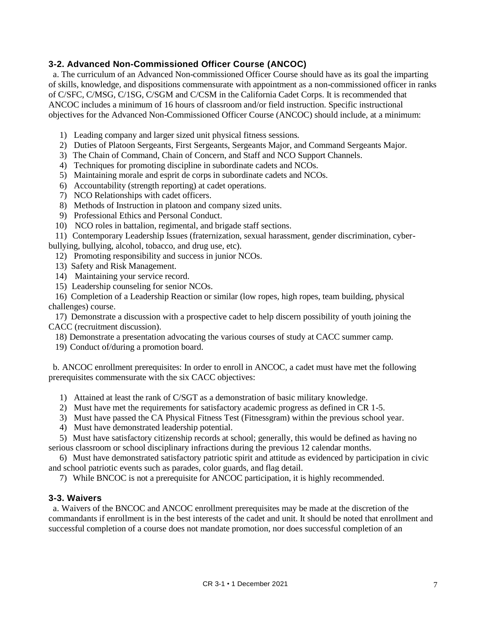## **3-2. Advanced Non-Commissioned Officer Course (ANCOC)**

a. The curriculum of an Advanced Non-commissioned Officer Course should have as its goal the imparting of skills, knowledge, and dispositions commensurate with appointment as a non-commissioned officer in ranks of C/SFC, C/MSG, C/1SG, C/SGM and C/CSM in the California Cadet Corps. It is recommended that ANCOC includes a minimum of 16 hours of classroom and/or field instruction. Specific instructional objectives for the Advanced Non-Commissioned Officer Course (ANCOC) should include, at a minimum:

- 1) Leading company and larger sized unit physical fitness sessions.
- 2) Duties of Platoon Sergeants, First Sergeants, Sergeants Major, and Command Sergeants Major.
- 3) The Chain of Command, Chain of Concern, and Staff and NCO Support Channels.
- 4) Techniques for promoting discipline in subordinate cadets and NCOs.
- 5) Maintaining morale and esprit de corps in subordinate cadets and NCOs.
- 6) Accountability (strength reporting) at cadet operations.
- 7) NCO Relationships with cadet officers.
- 8) Methods of Instruction in platoon and company sized units.
- 9) Professional Ethics and Personal Conduct.
- 10) NCO roles in battalion, regimental, and brigade staff sections.

11) Contemporary Leadership Issues (fraternization, sexual harassment, gender discrimination, cyber-

bullying, bullying, alcohol, tobacco, and drug use, etc).

- 12) Promoting responsibility and success in junior NCOs.
- 13) Safety and Risk Management.
- 14) Maintaining your service record.
- 15) Leadership counseling for senior NCOs.

 16) Completion of a Leadership Reaction or similar (low ropes, high ropes, team building, physical challenges) course.

 17) Demonstrate a discussion with a prospective cadet to help discern possibility of youth joining the CACC (recruitment discussion).

18) Demonstrate a presentation advocating the various courses of study at CACC summer camp.

19) Conduct of/during a promotion board.

b. ANCOC enrollment prerequisites: In order to enroll in ANCOC, a cadet must have met the following prerequisites commensurate with the six CACC objectives:

- 1) Attained at least the rank of C/SGT as a demonstration of basic military knowledge.
- 2) Must have met the requirements for satisfactory academic progress as defined in CR 1-5.
- 3) Must have passed the CA Physical Fitness Test (Fitnessgram) within the previous school year.
- 4) Must have demonstrated leadership potential.

 5) Must have satisfactory citizenship records at school; generally, this would be defined as having no serious classroom or school disciplinary infractions during the previous 12 calendar months.

 6) Must have demonstrated satisfactory patriotic spirit and attitude as evidenced by participation in civic and school patriotic events such as parades, color guards, and flag detail.

7) While BNCOC is not a prerequisite for ANCOC participation, it is highly recommended.

## **3-3. Waivers**

a. Waivers of the BNCOC and ANCOC enrollment prerequisites may be made at the discretion of the commandants if enrollment is in the best interests of the cadet and unit. It should be noted that enrollment and successful completion of a course does not mandate promotion, nor does successful completion of an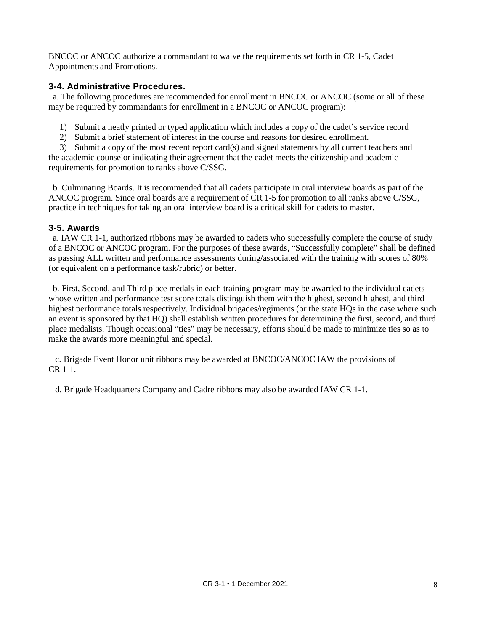BNCOC or ANCOC authorize a commandant to waive the requirements set forth in CR 1-5, Cadet Appointments and Promotions.

## **3-4. Administrative Procedures.**

a. The following procedures are recommended for enrollment in BNCOC or ANCOC (some or all of these may be required by commandants for enrollment in a BNCOC or ANCOC program):

- 1) Submit a neatly printed or typed application which includes a copy of the cadet's service record
- 2) Submit a brief statement of interest in the course and reasons for desired enrollment.

 3) Submit a copy of the most recent report card(s) and signed statements by all current teachers and the academic counselor indicating their agreement that the cadet meets the citizenship and academic requirements for promotion to ranks above C/SSG.

b. Culminating Boards. It is recommended that all cadets participate in oral interview boards as part of the ANCOC program. Since oral boards are a requirement of CR 1-5 for promotion to all ranks above C/SSG, practice in techniques for taking an oral interview board is a critical skill for cadets to master.

## **3-5. Awards**

a. IAW CR 1-1, authorized ribbons may be awarded to cadets who successfully complete the course of study of a BNCOC or ANCOC program. For the purposes of these awards, "Successfully complete" shall be defined as passing ALL written and performance assessments during/associated with the training with scores of 80% (or equivalent on a performance task/rubric) or better.

b. First, Second, and Third place medals in each training program may be awarded to the individual cadets whose written and performance test score totals distinguish them with the highest, second highest, and third highest performance totals respectively. Individual brigades/regiments (or the state HQs in the case where such an event is sponsored by that HQ) shall establish written procedures for determining the first, second, and third place medalists. Though occasional "ties" may be necessary, efforts should be made to minimize ties so as to make the awards more meaningful and special.

 c. Brigade Event Honor unit ribbons may be awarded at BNCOC/ANCOC IAW the provisions of CR 1-1.

d. Brigade Headquarters Company and Cadre ribbons may also be awarded IAW CR 1-1.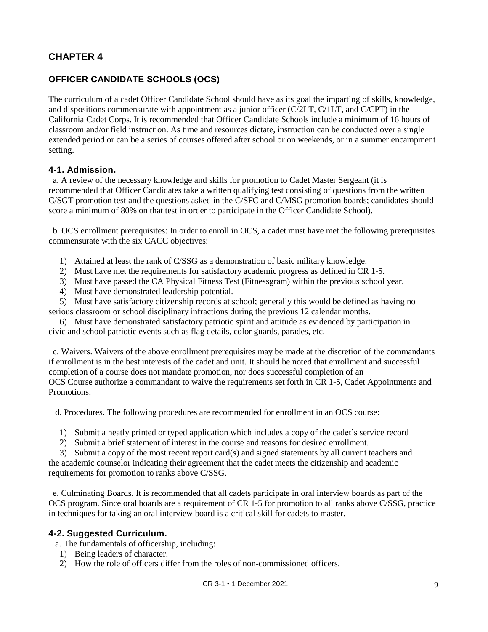# **OFFICER CANDIDATE SCHOOLS (OCS)**

The curriculum of a cadet Officer Candidate School should have as its goal the imparting of skills, knowledge, and dispositions commensurate with appointment as a junior officer (C/2LT, C/1LT, and C/CPT) in the California Cadet Corps. It is recommended that Officer Candidate Schools include a minimum of 16 hours of classroom and/or field instruction. As time and resources dictate, instruction can be conducted over a single extended period or can be a series of courses offered after school or on weekends, or in a summer encampment setting.

## **4-1. Admission.**

a. A review of the necessary knowledge and skills for promotion to Cadet Master Sergeant (it is recommended that Officer Candidates take a written qualifying test consisting of questions from the written C/SGT promotion test and the questions asked in the C/SFC and C/MSG promotion boards; candidates should score a minimum of 80% on that test in order to participate in the Officer Candidate School).

b. OCS enrollment prerequisites: In order to enroll in OCS, a cadet must have met the following prerequisites commensurate with the six CACC objectives:

- 1) Attained at least the rank of C/SSG as a demonstration of basic military knowledge.
- 2) Must have met the requirements for satisfactory academic progress as defined in CR 1-5.
- 3) Must have passed the CA Physical Fitness Test (Fitnessgram) within the previous school year.
- 4) Must have demonstrated leadership potential.

 5) Must have satisfactory citizenship records at school; generally this would be defined as having no serious classroom or school disciplinary infractions during the previous 12 calendar months.

 6) Must have demonstrated satisfactory patriotic spirit and attitude as evidenced by participation in civic and school patriotic events such as flag details, color guards, parades, etc.

c. Waivers. Waivers of the above enrollment prerequisites may be made at the discretion of the commandants if enrollment is in the best interests of the cadet and unit. It should be noted that enrollment and successful completion of a course does not mandate promotion, nor does successful completion of an OCS Course authorize a commandant to waive the requirements set forth in CR 1-5, Cadet Appointments and Promotions.

d. Procedures. The following procedures are recommended for enrollment in an OCS course:

- 1) Submit a neatly printed or typed application which includes a copy of the cadet's service record
- 2) Submit a brief statement of interest in the course and reasons for desired enrollment.

 3) Submit a copy of the most recent report card(s) and signed statements by all current teachers and the academic counselor indicating their agreement that the cadet meets the citizenship and academic requirements for promotion to ranks above C/SSG.

e. Culminating Boards. It is recommended that all cadets participate in oral interview boards as part of the OCS program. Since oral boards are a requirement of CR 1-5 for promotion to all ranks above C/SSG, practice in techniques for taking an oral interview board is a critical skill for cadets to master.

## **4-2. Suggested Curriculum.**

a. The fundamentals of officership, including:

- 1) Being leaders of character.
- 2) How the role of officers differ from the roles of non-commissioned officers.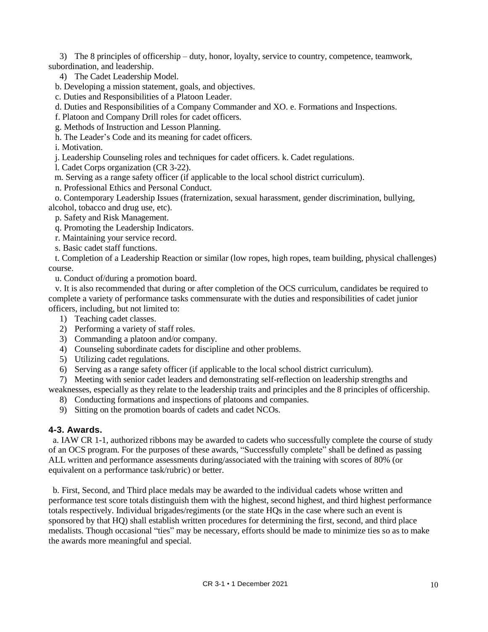3) The 8 principles of officership – duty, honor, loyalty, service to country, competence, teamwork, subordination, and leadership.

4) The Cadet Leadership Model.

b. Developing a mission statement, goals, and objectives.

c. Duties and Responsibilities of a Platoon Leader.

d. Duties and Responsibilities of a Company Commander and XO. e. Formations and Inspections.

f. Platoon and Company Drill roles for cadet officers.

g. Methods of Instruction and Lesson Planning.

h. The Leader's Code and its meaning for cadet officers.

i. Motivation.

j. Leadership Counseling roles and techniques for cadet officers. k. Cadet regulations.

l. Cadet Corps organization (CR 3-22).

m. Serving as a range safety officer (if applicable to the local school district curriculum).

n. Professional Ethics and Personal Conduct.

o. Contemporary Leadership Issues (fraternization, sexual harassment, gender discrimination, bullying, alcohol, tobacco and drug use, etc).

p. Safety and Risk Management.

q. Promoting the Leadership Indicators.

r. Maintaining your service record.

s. Basic cadet staff functions.

 t. Completion of a Leadership Reaction or similar (low ropes, high ropes, team building, physical challenges) course.

u. Conduct of/during a promotion board.

 v. It is also recommended that during or after completion of the OCS curriculum, candidates be required to complete a variety of performance tasks commensurate with the duties and responsibilities of cadet junior officers, including, but not limited to:

1) Teaching cadet classes.

2) Performing a variety of staff roles.

3) Commanding a platoon and/or company.

4) Counseling subordinate cadets for discipline and other problems.

5) Utilizing cadet regulations.

6) Serving as a range safety officer (if applicable to the local school district curriculum).

7) Meeting with senior cadet leaders and demonstrating self-reflection on leadership strengths and

weaknesses, especially as they relate to the leadership traits and principles and the 8 principles of officership.

8) Conducting formations and inspections of platoons and companies.

9) Sitting on the promotion boards of cadets and cadet NCOs.

## **4-3. Awards.**

a. IAW CR 1-1, authorized ribbons may be awarded to cadets who successfully complete the course of study of an OCS program. For the purposes of these awards, "Successfully complete" shall be defined as passing ALL written and performance assessments during/associated with the training with scores of 80% (or equivalent on a performance task/rubric) or better.

b. First, Second, and Third place medals may be awarded to the individual cadets whose written and performance test score totals distinguish them with the highest, second highest, and third highest performance totals respectively. Individual brigades/regiments (or the state HQs in the case where such an event is sponsored by that HQ) shall establish written procedures for determining the first, second, and third place medalists. Though occasional "ties" may be necessary, efforts should be made to minimize ties so as to make the awards more meaningful and special.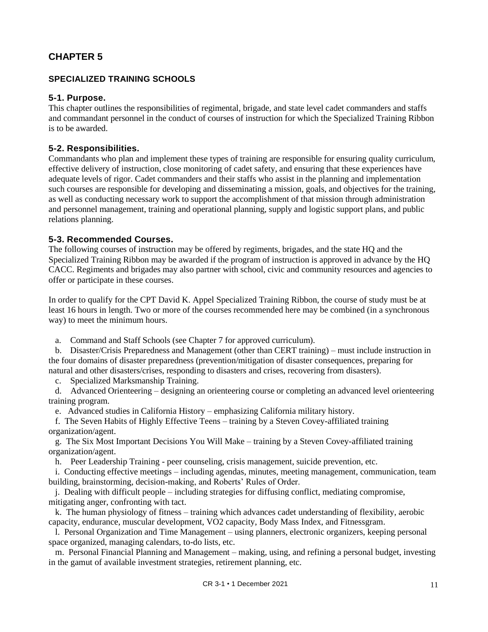## **SPECIALIZED TRAINING SCHOOLS**

## **5-1. Purpose.**

This chapter outlines the responsibilities of regimental, brigade, and state level cadet commanders and staffs and commandant personnel in the conduct of courses of instruction for which the Specialized Training Ribbon is to be awarded.

## **5-2. Responsibilities.**

Commandants who plan and implement these types of training are responsible for ensuring quality curriculum, effective delivery of instruction, close monitoring of cadet safety, and ensuring that these experiences have adequate levels of rigor. Cadet commanders and their staffs who assist in the planning and implementation such courses are responsible for developing and disseminating a mission, goals, and objectives for the training, as well as conducting necessary work to support the accomplishment of that mission through administration and personnel management, training and operational planning, supply and logistic support plans, and public relations planning.

## **5-3. Recommended Courses.**

The following courses of instruction may be offered by regiments, brigades, and the state HQ and the Specialized Training Ribbon may be awarded if the program of instruction is approved in advance by the HQ CACC. Regiments and brigades may also partner with school, civic and community resources and agencies to offer or participate in these courses.

In order to qualify for the CPT David K. Appel Specialized Training Ribbon, the course of study must be at least 16 hours in length. Two or more of the courses recommended here may be combined (in a synchronous way) to meet the minimum hours.

a. Command and Staff Schools (see Chapter 7 for approved curriculum).

 b. Disaster/Crisis Preparedness and Management (other than CERT training) – must include instruction in the four domains of disaster preparedness (prevention/mitigation of disaster consequences, preparing for natural and other disasters/crises, responding to disasters and crises, recovering from disasters).

c. Specialized Marksmanship Training.

 d. Advanced Orienteering – designing an orienteering course or completing an advanced level orienteering training program.

e. Advanced studies in California History – emphasizing California military history.

 f. The Seven Habits of Highly Effective Teens – training by a Steven Covey-affiliated training organization/agent.

 g. The Six Most Important Decisions You Will Make – training by a Steven Covey-affiliated training organization/agent.

h. Peer Leadership Training - peer counseling, crisis management, suicide prevention, etc.

 i. Conducting effective meetings – including agendas, minutes, meeting management, communication, team building, brainstorming, decision-making, and Roberts' Rules of Order.

 j. Dealing with difficult people – including strategies for diffusing conflict, mediating compromise, mitigating anger, confronting with tact.

 k. The human physiology of fitness – training which advances cadet understanding of flexibility, aerobic capacity, endurance, muscular development, VO2 capacity, Body Mass Index, and Fitnessgram.

 l. Personal Organization and Time Management – using planners, electronic organizers, keeping personal space organized, managing calendars, to-do lists, etc.

 m. Personal Financial Planning and Management – making, using, and refining a personal budget, investing in the gamut of available investment strategies, retirement planning, etc.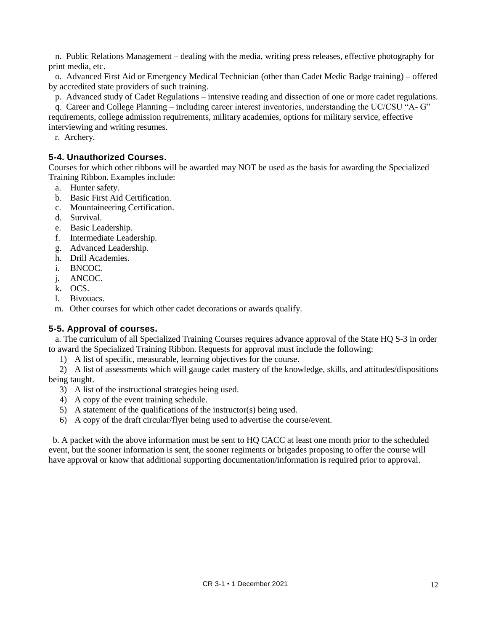n. Public Relations Management – dealing with the media, writing press releases, effective photography for print media, etc.

 o. Advanced First Aid or Emergency Medical Technician (other than Cadet Medic Badge training) – offered by accredited state providers of such training.

p. Advanced study of Cadet Regulations – intensive reading and dissection of one or more cadet regulations.

 q. Career and College Planning – including career interest inventories, understanding the UC/CSU "A- G" requirements, college admission requirements, military academies, options for military service, effective interviewing and writing resumes.

r. Archery.

## **5-4. Unauthorized Courses.**

Courses for which other ribbons will be awarded may NOT be used as the basis for awarding the Specialized Training Ribbon. Examples include:

- a. Hunter safety.
- b. Basic First Aid Certification.
- c. Mountaineering Certification.
- d. Survival.
- e. Basic Leadership.
- f. Intermediate Leadership.
- g. Advanced Leadership.
- h. Drill Academies.
- i. BNCOC.
- j. ANCOC.
- k. OCS.
- l. Bivouacs.
- m. Other courses for which other cadet decorations or awards qualify.

## **5-5. Approval of courses.**

 a. The curriculum of all Specialized Training Courses requires advance approval of the State HQ S-3 in order to award the Specialized Training Ribbon. Requests for approval must include the following:

1) A list of specific, measurable, learning objectives for the course.

 2) A list of assessments which will gauge cadet mastery of the knowledge, skills, and attitudes/dispositions being taught.

- 3) A list of the instructional strategies being used.
- 4) A copy of the event training schedule.
- 5) A statement of the qualifications of the instructor(s) being used.
- 6) A copy of the draft circular/flyer being used to advertise the course/event.

b. A packet with the above information must be sent to HQ CACC at least one month prior to the scheduled event, but the sooner information is sent, the sooner regiments or brigades proposing to offer the course will have approval or know that additional supporting documentation/information is required prior to approval.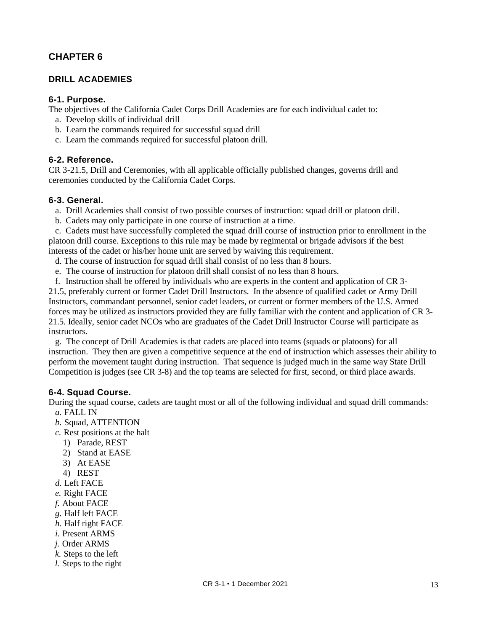## **DRILL ACADEMIES**

#### **6-1. Purpose.**

The objectives of the California Cadet Corps Drill Academies are for each individual cadet to:

- a. Develop skills of individual drill
- b. Learn the commands required for successful squad drill
- c. Learn the commands required for successful platoon drill.

#### **6-2. Reference.**

CR 3-21.5, Drill and Ceremonies, with all applicable officially published changes, governs drill and ceremonies conducted by the California Cadet Corps.

#### **6-3. General.**

- a. Drill Academies shall consist of two possible courses of instruction: squad drill or platoon drill.
- b. Cadets may only participate in one course of instruction at a time.

 c. Cadets must have successfully completed the squad drill course of instruction prior to enrollment in the platoon drill course. Exceptions to this rule may be made by regimental or brigade advisors if the best interests of the cadet or his/her home unit are served by waiving this requirement.

- d. The course of instruction for squad drill shall consist of no less than 8 hours.
- e. The course of instruction for platoon drill shall consist of no less than 8 hours.

 f. Instruction shall be offered by individuals who are experts in the content and application of CR 3- 21.5, preferably current or former Cadet Drill Instructors. In the absence of qualified cadet or Army Drill Instructors, commandant personnel, senior cadet leaders, or current or former members of the U.S. Armed forces may be utilized as instructors provided they are fully familiar with the content and application of CR 3- 21.5. Ideally, senior cadet NCOs who are graduates of the Cadet Drill Instructor Course will participate as instructors.

 g. The concept of Drill Academies is that cadets are placed into teams (squads or platoons) for all instruction. They then are given a competitive sequence at the end of instruction which assesses their ability to perform the movement taught during instruction. That sequence is judged much in the same way State Drill Competition is judges (see CR 3-8) and the top teams are selected for first, second, or third place awards.

#### **6-4. Squad Course.**

During the squad course, cadets are taught most or all of the following individual and squad drill commands:

- *a.* FALL IN
- *b.* Squad, ATTENTION
- *c.* Rest positions at the halt
	- 1) Parade, REST
	- 2) Stand at EASE
	- 3) At EASE
- 4) REST
- *d.* Left FACE
- *e.* Right FACE
- *f.* About FACE
- *g.* Half left FACE
- *h.* Half right FACE
- *i.* Present ARMS
- *j.* Order ARMS
- *k.* Steps to the left
- *l.* Steps to the right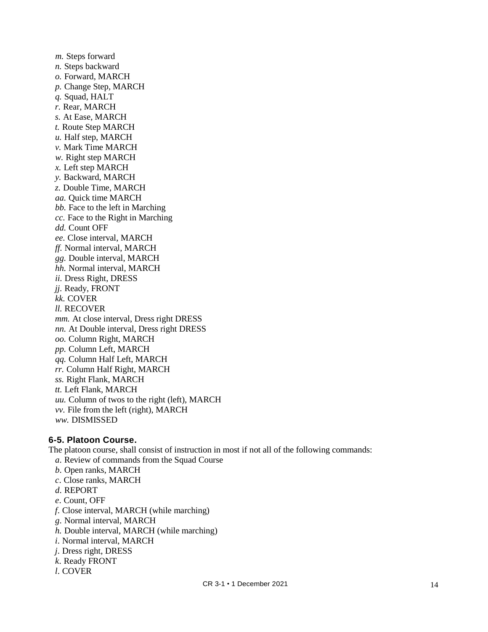m. Steps forward  *n.* Steps backward  *o.* Forward, MARCH  *p.* Change Step, MARCH  *q.* Squad, HALT  *r.* Rear, MARCH  *s.* At Ease, MARCH  *t.* Route Step MARCH  *u.* Half step, MARCH  *v.* Mark Time MARCH  *w.* Right step MARCH  *x.* Left step MARCH  *y.* Backward, MARCH  *z.* Double Time, MARCH  *aa.* Quick time MARCH  *bb.* Face to the left in Marching *cc.* Face to the Right in Marching *dd.* Count OFF  *ee.* Close interval, MARCH *ff.* Normal interval, MARCH *gg.* Double interval, MARCH *hh.* Normal interval, MARCH *ii.* Dress Right, DRESS  *jj.* Ready, FRONT  *kk.* COVER  *ll.* RECOVER  *mm.* At close interval, Dress right DRESS *nn.* At Double interval, Dress right DRESS *oo.* Column Right, MARCH  *pp.* Column Left, MARCH  *qq.* Column Half Left, MARCH  *rr.* Column Half Right, MARCH  *ss.* Right Flank, MARCH  *tt.* Left Flank, MARCH  *uu.* Column of twos to the right (left), MARCH  *vv.* File from the left (right), MARCH  *ww.* DISMISSED

## **6-5. Platoon Course.**

The platoon course, shall consist of instruction in most if not all of the following commands:

- *a*. Review of commands from the Squad Course
- *b*. Open ranks, MARCH
- *c*. Close ranks, MARCH
- *d*. REPORT
- *e*. Count, OFF
- *f*. Close interval, MARCH (while marching)
- *g*. Normal interval, MARCH
- *h.* Double interval, MARCH (while marching)
- *i*. Normal interval, MARCH
- *j*. Dress right, DRESS
- *k*. Ready FRONT
- *l*. COVER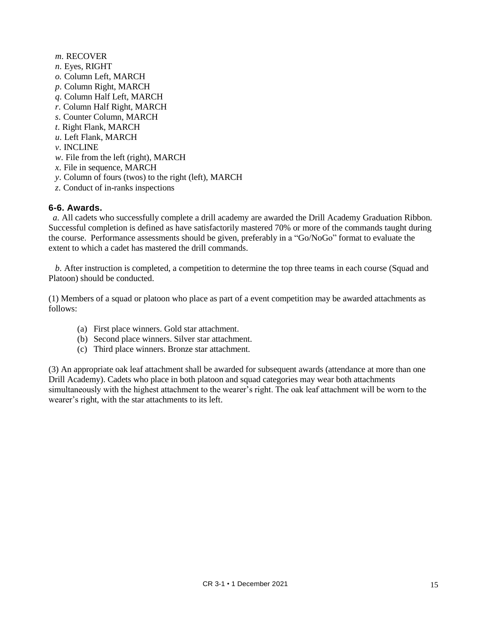- *m*. RECOVER
- *n*. Eyes, RIGHT
- *o.* Column Left, MARCH
- *p*. Column Right, MARCH
- *q*. Column Half Left, MARCH
- *r*. Column Half Right, MARCH
- *s*. Counter Column, MARCH
- *t*. Right Flank, MARCH
- *u*. Left Flank, MARCH
- *v*. INCLINE
- *w*. File from the left (right), MARCH
- *x*. File in sequence, MARCH
- *y*. Column of fours (twos) to the right (left), MARCH
- *z*. Conduct of in-ranks inspections

#### **6-6. Awards.**

*a*. All cadets who successfully complete a drill academy are awarded the Drill Academy Graduation Ribbon. Successful completion is defined as have satisfactorily mastered 70% or more of the commands taught during the course. Performance assessments should be given, preferably in a "Go/NoGo" format to evaluate the extent to which a cadet has mastered the drill commands.

 *b*. After instruction is completed, a competition to determine the top three teams in each course (Squad and Platoon) should be conducted.

(1) Members of a squad or platoon who place as part of a event competition may be awarded attachments as follows:

- (a) First place winners. Gold star attachment.
- (b) Second place winners. Silver star attachment.
- (c) Third place winners. Bronze star attachment.

(3) An appropriate oak leaf attachment shall be awarded for subsequent awards (attendance at more than one Drill Academy). Cadets who place in both platoon and squad categories may wear both attachments simultaneously with the highest attachment to the wearer's right. The oak leaf attachment will be worn to the wearer's right, with the star attachments to its left.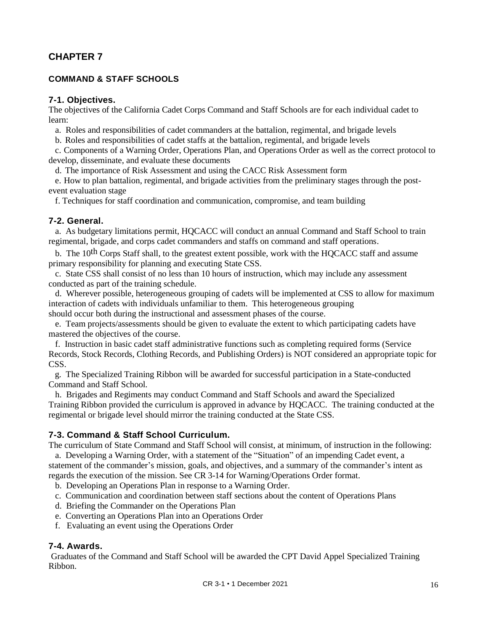## **COMMAND & STAFF SCHOOLS**

#### **7-1. Objectives.**

The objectives of the California Cadet Corps Command and Staff Schools are for each individual cadet to learn:

a. Roles and responsibilities of cadet commanders at the battalion, regimental, and brigade levels

b. Roles and responsibilities of cadet staffs at the battalion, regimental, and brigade levels

 c. Components of a Warning Order, Operations Plan, and Operations Order as well as the correct protocol to develop, disseminate, and evaluate these documents

d. The importance of Risk Assessment and using the CACC Risk Assessment form

 e. How to plan battalion, regimental, and brigade activities from the preliminary stages through the postevent evaluation stage

f. Techniques for staff coordination and communication, compromise, and team building

#### **7-2. General.**

 a. As budgetary limitations permit, HQCACC will conduct an annual Command and Staff School to train regimental, brigade, and corps cadet commanders and staffs on command and staff operations.

 b. The 10th Corps Staff shall, to the greatest extent possible, work with the HQCACC staff and assume primary responsibility for planning and executing State CSS.

 c. State CSS shall consist of no less than 10 hours of instruction, which may include any assessment conducted as part of the training schedule.

 d. Wherever possible, heterogeneous grouping of cadets will be implemented at CSS to allow for maximum interaction of cadets with individuals unfamiliar to them. This heterogeneous grouping should occur both during the instructional and assessment phases of the course.

 e. Team projects/assessments should be given to evaluate the extent to which participating cadets have mastered the objectives of the course.

 f. Instruction in basic cadet staff administrative functions such as completing required forms (Service Records, Stock Records, Clothing Records, and Publishing Orders) is NOT considered an appropriate topic for CSS.

 g. The Specialized Training Ribbon will be awarded for successful participation in a State-conducted Command and Staff School.

 h. Brigades and Regiments may conduct Command and Staff Schools and award the Specialized Training Ribbon provided the curriculum is approved in advance by HQCACC. The training conducted at the regimental or brigade level should mirror the training conducted at the State CSS.

#### **7-3. Command & Staff School Curriculum.**

The curriculum of State Command and Staff School will consist, at minimum, of instruction in the following: a. Developing a Warning Order, with a statement of the "Situation" of an impending Cadet event, a statement of the commander's mission, goals, and objectives, and a summary of the commander's intent as

regards the execution of the mission. See CR 3-14 for Warning/Operations Order format.

b. Developing an Operations Plan in response to a Warning Order.

c. Communication and coordination between staff sections about the content of Operations Plans

- d. Briefing the Commander on the Operations Plan
- e. Converting an Operations Plan into an Operations Order
- f. Evaluating an event using the Operations Order

## **7-4. Awards.**

Graduates of the Command and Staff School will be awarded the CPT David Appel Specialized Training Ribbon.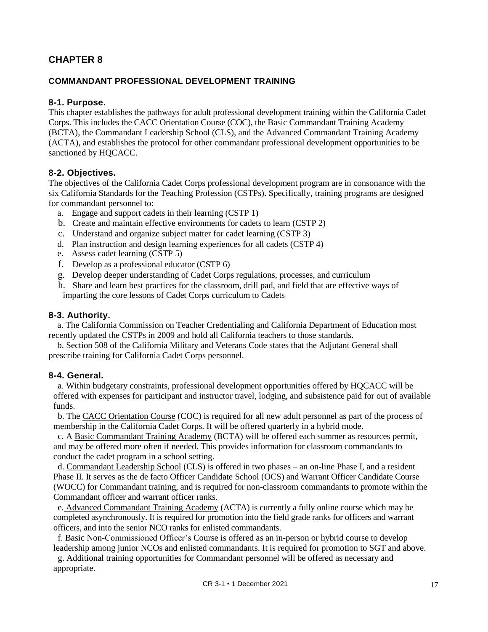## **COMMANDANT PROFESSIONAL DEVELOPMENT TRAINING**

#### **8-1. Purpose.**

This chapter establishes the pathways for adult professional development training within the California Cadet Corps. This includes the CACC Orientation Course (COC), the Basic Commandant Training Academy (BCTA), the Commandant Leadership School (CLS), and the Advanced Commandant Training Academy (ACTA), and establishes the protocol for other commandant professional development opportunities to be sanctioned by HQCACC.

## **8-2. Objectives.**

The objectives of the California Cadet Corps professional development program are in consonance with the six California Standards for the Teaching Profession (CSTPs). Specifically, training programs are designed for commandant personnel to:

- a. Engage and support cadets in their learning (CSTP 1)
- b. Create and maintain effective environments for cadets to learn (CSTP 2)
- c. Understand and organize subject matter for cadet learning (CSTP 3)
- d. Plan instruction and design learning experiences for all cadets (CSTP 4)
- e. Assess cadet learning (CSTP 5)
- f. Develop as a professional educator (CSTP 6)
- g. Develop deeper understanding of Cadet Corps regulations, processes, and curriculum
- h. Share and learn best practices for the classroom, drill pad, and field that are effective ways of imparting the core lessons of Cadet Corps curriculum to Cadets

#### **8-3. Authority.**

 a. The California Commission on Teacher Credentialing and California Department of Education most recently updated the CSTPs in 2009 and hold all California teachers to those standards.

 b. Section 508 of the California Military and Veterans Code states that the Adjutant General shall prescribe training for California Cadet Corps personnel.

#### **8-4. General.**

a. Within budgetary constraints, professional development opportunities offered by HQCACC will be offered with expenses for participant and instructor travel, lodging, and subsistence paid for out of available funds.

b. The CACC Orientation Course (COC) is required for all new adult personnel as part of the process of membership in the California Cadet Corps. It will be offered quarterly in a hybrid mode.

c. A Basic Commandant Training Academy (BCTA) will be offered each summer as resources permit, and may be offered more often if needed. This provides information for classroom commandants to conduct the cadet program in a school setting.

d. Commandant Leadership School (CLS) is offered in two phases – an on-line Phase I, and a resident Phase II. It serves as the de facto Officer Candidate School (OCS) and Warrant Officer Candidate Course (WOCC) for Commandant training, and is required for non-classroom commandants to promote within the Commandant officer and warrant officer ranks.

e. Advanced Commandant Training Academy (ACTA) is currently a fully online course which may be completed asynchronously. It is required for promotion into the field grade ranks for officers and warrant officers, and into the senior NCO ranks for enlisted commandants.

f. Basic Non-Commissioned Officer's Course is offered as an in-person or hybrid course to develop leadership among junior NCOs and enlisted commandants. It is required for promotion to SGT and above.

g. Additional training opportunities for Commandant personnel will be offered as necessary and appropriate.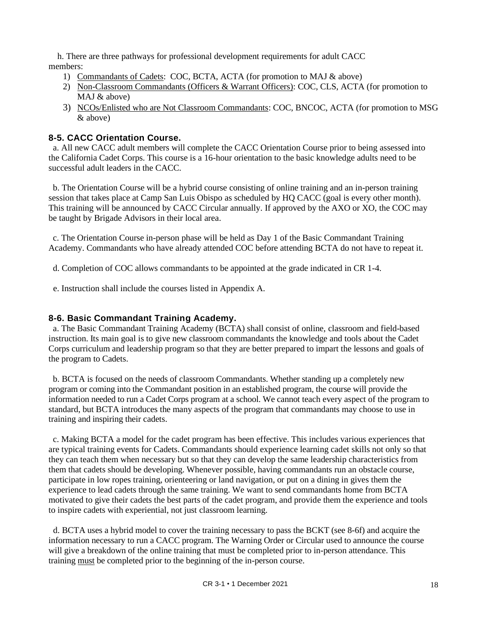h. There are three pathways for professional development requirements for adult CACC members:

- 1) Commandants of Cadets: COC, BCTA, ACTA (for promotion to MAJ & above)
- 2) Non-Classroom Commandants (Officers & Warrant Officers): COC, CLS, ACTA (for promotion to MAJ & above)
- 3) NCOs/Enlisted who are Not Classroom Commandants: COC, BNCOC, ACTA (for promotion to MSG & above)

## **8-5. CACC Orientation Course.**

a. All new CACC adult members will complete the CACC Orientation Course prior to being assessed into the California Cadet Corps. This course is a 16-hour orientation to the basic knowledge adults need to be successful adult leaders in the CACC.

b. The Orientation Course will be a hybrid course consisting of online training and an in-person training session that takes place at Camp San Luis Obispo as scheduled by HQ CACC (goal is every other month). This training will be announced by CACC Circular annually. If approved by the AXO or XO, the COC may be taught by Brigade Advisors in their local area.

c. The Orientation Course in-person phase will be held as Day 1 of the Basic Commandant Training Academy. Commandants who have already attended COC before attending BCTA do not have to repeat it.

d. Completion of COC allows commandants to be appointed at the grade indicated in CR 1-4.

e. Instruction shall include the courses listed in Appendix A.

## **8-6. Basic Commandant Training Academy.**

a. The Basic Commandant Training Academy (BCTA) shall consist of online, classroom and field-based instruction. Its main goal is to give new classroom commandants the knowledge and tools about the Cadet Corps curriculum and leadership program so that they are better prepared to impart the lessons and goals of the program to Cadets.

b. BCTA is focused on the needs of classroom Commandants. Whether standing up a completely new program or coming into the Commandant position in an established program, the course will provide the information needed to run a Cadet Corps program at a school. We cannot teach every aspect of the program to standard, but BCTA introduces the many aspects of the program that commandants may choose to use in training and inspiring their cadets.

c. Making BCTA a model for the cadet program has been effective. This includes various experiences that are typical training events for Cadets. Commandants should experience learning cadet skills not only so that they can teach them when necessary but so that they can develop the same leadership characteristics from them that cadets should be developing. Whenever possible, having commandants run an obstacle course, participate in low ropes training, orienteering or land navigation, or put on a dining in gives them the experience to lead cadets through the same training. We want to send commandants home from BCTA motivated to give their cadets the best parts of the cadet program, and provide them the experience and tools to inspire cadets with experiential, not just classroom learning.

d. BCTA uses a hybrid model to cover the training necessary to pass the BCKT (see 8-6f) and acquire the information necessary to run a CACC program. The Warning Order or Circular used to announce the course will give a breakdown of the online training that must be completed prior to in-person attendance. This training must be completed prior to the beginning of the in-person course.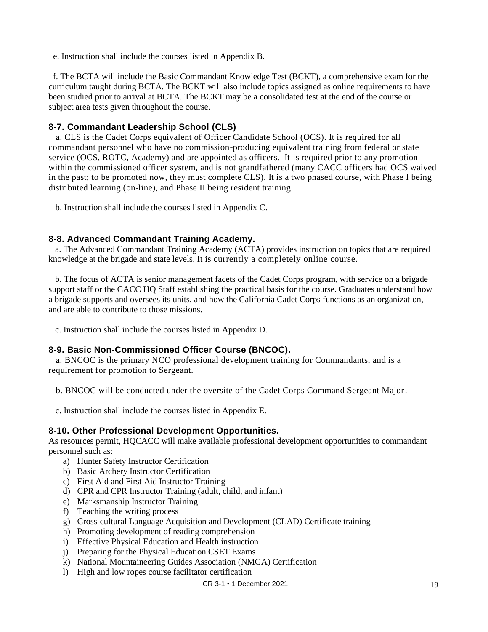e. Instruction shall include the courses listed in Appendix B.

 f. The BCTA will include the Basic Commandant Knowledge Test (BCKT), a comprehensive exam for the curriculum taught during BCTA. The BCKT will also include topics assigned as online requirements to have been studied prior to arrival at BCTA. The BCKT may be a consolidated test at the end of the course or subject area tests given throughout the course.

## **8-7. Commandant Leadership School (CLS)**

 a. CLS is the Cadet Corps equivalent of Officer Candidate School (OCS). It is required for all commandant personnel who have no commission-producing equivalent training from federal or state service (OCS, ROTC, Academy) and are appointed as officers. It is required prior to any promotion within the commissioned officer system, and is not grandfathered (many CACC officers had OCS waived in the past; to be promoted now, they must complete CLS). It is a two phased course, with Phase I being distributed learning (on-line), and Phase II being resident training.

b. Instruction shall include the courses listed in Appendix C.

## **8-8. Advanced Commandant Training Academy.**

 a. The Advanced Commandant Training Academy (ACTA) provides instruction on topics that are required knowledge at the brigade and state levels. It is currently a completely online course.

 b. The focus of ACTA is senior management facets of the Cadet Corps program, with service on a brigade support staff or the CACC HQ Staff establishing the practical basis for the course. Graduates understand how a brigade supports and oversees its units, and how the California Cadet Corps functions as an organization, and are able to contribute to those missions.

c. Instruction shall include the courses listed in Appendix D.

#### **8-9. Basic Non-Commissioned Officer Course (BNCOC).**

 a. BNCOC is the primary NCO professional development training for Commandants, and is a requirement for promotion to Sergeant.

b. BNCOC will be conducted under the oversite of the Cadet Corps Command Sergeant Major.

c. Instruction shall include the courses listed in Appendix E.

## **8-10. Other Professional Development Opportunities.**

As resources permit, HQCACC will make available professional development opportunities to commandant personnel such as:

- a) Hunter Safety Instructor Certification
- b) Basic Archery Instructor Certification
- c) First Aid and First Aid Instructor Training
- d) CPR and CPR Instructor Training (adult, child, and infant)
- e) Marksmanship Instructor Training
- f) Teaching the writing process
- g) Cross-cultural Language Acquisition and Development (CLAD) Certificate training
- h) Promoting development of reading comprehension
- i) Effective Physical Education and Health instruction
- j) Preparing for the Physical Education CSET Exams
- k) National Mountaineering Guides Association (NMGA) Certification
- l) High and low ropes course facilitator certification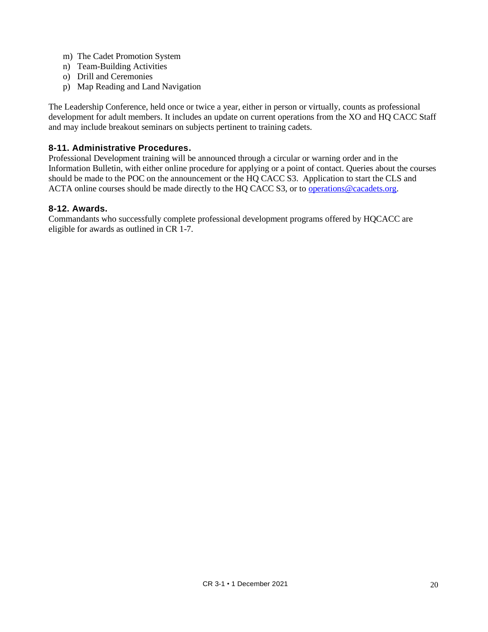- m) The Cadet Promotion System
- n) Team-Building Activities
- o) Drill and Ceremonies
- p) Map Reading and Land Navigation

The Leadership Conference, held once or twice a year, either in person or virtually, counts as professional development for adult members. It includes an update on current operations from the XO and HQ CACC Staff and may include breakout seminars on subjects pertinent to training cadets.

## **8-11. Administrative Procedures.**

Professional Development training will be announced through a circular or warning order and in the Information Bulletin, with either online procedure for applying or a point of contact. Queries about the courses should be made to the POC on the announcement or the HQ CACC S3. Application to start the CLS and ACTA online courses should be made directly to the HQ CACC S3, or to [operations@cacadets.org.](mailto:operations@cacadets.org)

## **8-12. Awards.**

Commandants who successfully complete professional development programs offered by HQCACC are eligible for awards as outlined in CR 1-7.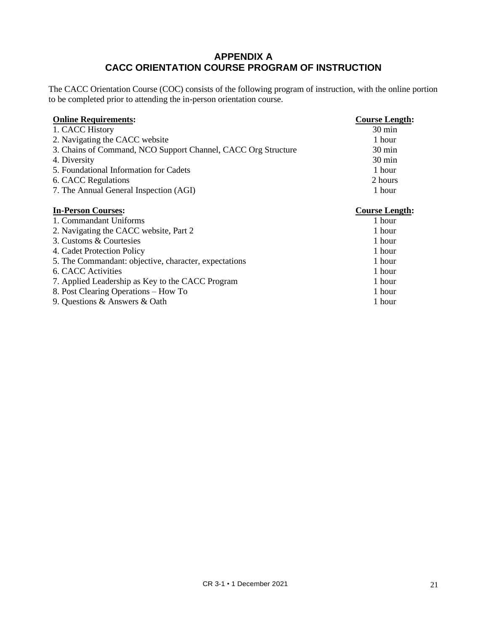# **APPENDIX A CACC ORIENTATION COURSE PROGRAM OF INSTRUCTION**

The CACC Orientation Course (COC) consists of the following program of instruction, with the online portion to be completed prior to attending the in-person orientation course.

| <b>Online Requirements:</b>                                   | <b>Course Length:</b> |
|---------------------------------------------------------------|-----------------------|
| 1. CACC History                                               | $30 \text{ min}$      |
| 2. Navigating the CACC website                                | 1 hour                |
| 3. Chains of Command, NCO Support Channel, CACC Org Structure | $30 \text{ min}$      |
| 4. Diversity                                                  | 30 min                |
| 5. Foundational Information for Cadets                        | 1 hour                |
| 6. CACC Regulations                                           | 2 hours               |
| 7. The Annual General Inspection (AGI)                        | 1 hour                |
|                                                               |                       |
| <b>In-Person Courses:</b>                                     | <b>Course Length:</b> |
| 1. Commandant Uniforms                                        | 1 hour                |
| 2. Navigating the CACC website, Part 2                        | 1 hour                |
| 3. Customs & Courtesies                                       | 1 hour                |
| 4. Cadet Protection Policy                                    | 1 hour                |
| 5. The Commandant: objective, character, expectations         | 1 hour                |
| 6. CACC Activities                                            | 1 hour                |
| 7. Applied Leadership as Key to the CACC Program              | 1 hour                |
| 8. Post Clearing Operations – How To                          | 1 hour                |
| 9. Questions & Answers & Oath                                 | 1 hour                |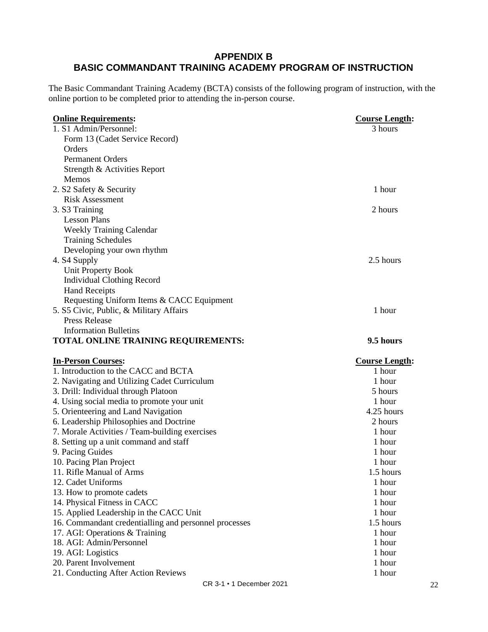# **APPENDIX B BASIC COMMANDANT TRAINING ACADEMY PROGRAM OF INSTRUCTION**

The Basic Commandant Training Academy (BCTA) consists of the following program of instruction, with the online portion to be completed prior to attending the in-person course.

| <b>Online Requirements:</b>                                                               | <b>Course Length:</b> |
|-------------------------------------------------------------------------------------------|-----------------------|
| 1. S1 Admin/Personnel:                                                                    | 3 hours               |
| Form 13 (Cadet Service Record)                                                            |                       |
| Orders                                                                                    |                       |
| <b>Permanent Orders</b>                                                                   |                       |
| Strength & Activities Report                                                              |                       |
| Memos                                                                                     |                       |
| 2. S2 Safety & Security                                                                   | 1 hour                |
| <b>Risk Assessment</b>                                                                    |                       |
| 3. S3 Training                                                                            | 2 hours               |
| <b>Lesson Plans</b>                                                                       |                       |
| <b>Weekly Training Calendar</b>                                                           |                       |
| <b>Training Schedules</b>                                                                 |                       |
| Developing your own rhythm                                                                |                       |
| 4. S4 Supply                                                                              | 2.5 hours             |
| <b>Unit Property Book</b>                                                                 |                       |
| <b>Individual Clothing Record</b>                                                         |                       |
| <b>Hand Receipts</b>                                                                      |                       |
| Requesting Uniform Items & CACC Equipment                                                 |                       |
| 5. S5 Civic, Public, & Military Affairs                                                   | 1 hour                |
| <b>Press Release</b>                                                                      |                       |
| <b>Information Bulletins</b>                                                              |                       |
| TOTAL ONLINE TRAINING REQUIREMENTS:                                                       | 9.5 hours             |
|                                                                                           |                       |
|                                                                                           |                       |
| <b>In-Person Courses:</b>                                                                 | <b>Course Length:</b> |
| 1. Introduction to the CACC and BCTA                                                      | 1 hour<br>1 hour      |
| 2. Navigating and Utilizing Cadet Curriculum                                              | 5 hours               |
| 3. Drill: Individual through Platoon                                                      | 1 hour                |
| 4. Using social media to promote your unit                                                | 4.25 hours            |
| 5. Orienteering and Land Navigation                                                       | 2 hours               |
| 6. Leadership Philosophies and Doctrine<br>7. Morale Activities / Team-building exercises | 1 hour                |
| 8. Setting up a unit command and staff                                                    | 1 hour                |
| 9. Pacing Guides                                                                          | 1 hour                |
| 10. Pacing Plan Project                                                                   | 1 hour                |
| 11. Rifle Manual of Arms                                                                  | 1.5 hours             |
| 12. Cadet Uniforms                                                                        | 1 hour                |
| 13. How to promote cadets                                                                 | 1 hour                |
| 14. Physical Fitness in CACC                                                              | 1 hour                |
| 15. Applied Leadership in the CACC Unit                                                   | 1 hour                |
| 16. Commandant credentialling and personnel processes                                     | 1.5 hours             |
| 17. AGI: Operations & Training                                                            | 1 hour                |
| 18. AGI: Admin/Personnel                                                                  | 1 hour                |
| 19. AGI: Logistics                                                                        | 1 hour                |
| 20. Parent Involvement<br>21. Conducting After Action Reviews                             | 1 hour<br>1 hour      |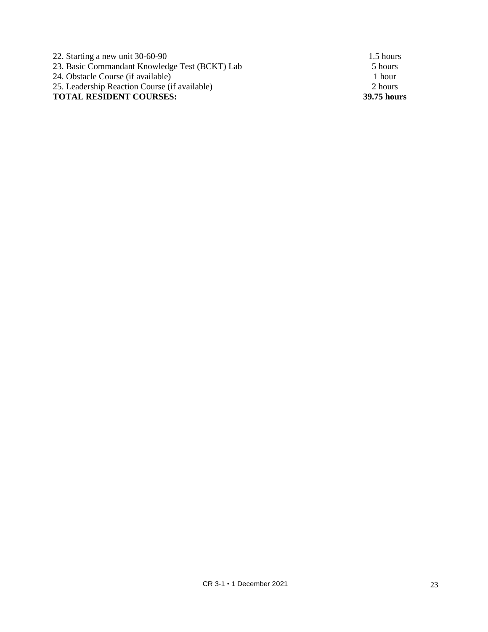22. Starting a new unit 30-60-90 1.5 hours 23. Basic Commandant Knowledge Test (BCKT) Lab 5 hours 24. Obstacle Course (if available) 1 hour 25. Leadership Reaction Course (if available) 2 hours **TOTAL RESIDENT COURSES: 39.75 hours**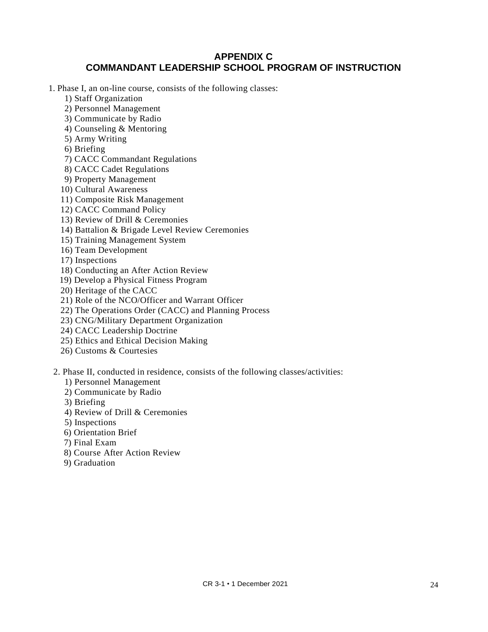# **APPENDIX C COMMANDANT LEADERSHIP SCHOOL PROGRAM OF INSTRUCTION**

1. Phase I, an on-line course, consists of the following classes:

- 1) Staff Organization
- 2) Personnel Management
- 3) Communicate by Radio
- 4) Counseling & Mentoring
- 5) Army Writing
- 6) Briefing
- 7) CACC Commandant Regulations
- 8) CACC Cadet Regulations
- 9) Property Management
- 10) Cultural Awareness
- 11) Composite Risk Management
- 12) CACC Command Policy
- 13) Review of Drill & Ceremonies
- 14) Battalion & Brigade Level Review Ceremonies
- 15) Training Management System
- 16) Team Development
- 17) Inspections
- 18) Conducting an After Action Review
- 19) Develop a Physical Fitness Program
- 20) Heritage of the CACC
- 21) Role of the NCO/Officer and Warrant Officer
- 22) The Operations Order (CACC) and Planning Process
- 23) CNG/Military Department Organization
- 24) CACC Leadership Doctrine
- 25) Ethics and Ethical Decision Making
- 26) Customs & Courtesies
- 2. Phase II, conducted in residence, consists of the following classes/activities:
	- 1) Personnel Management
	- 2) Communicate by Radio
	- 3) Briefing
	- 4) Review of Drill & Ceremonies
	- 5) Inspections
	- 6) Orientation Brief
	- 7) Final Exam
	- 8) Course After Action Review
	- 9) Graduation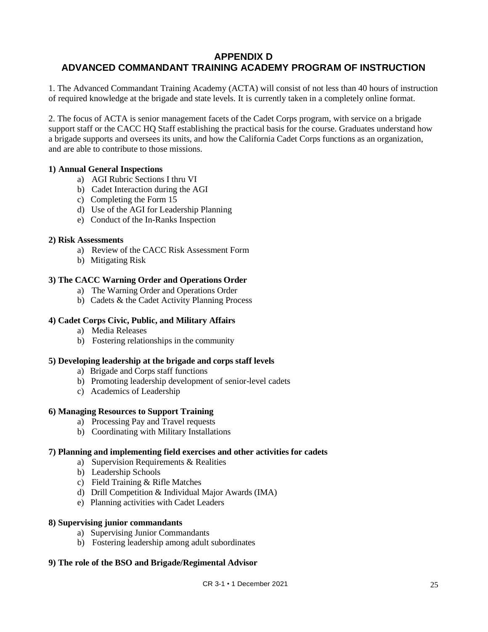# **APPENDIX D ADVANCED COMMANDANT TRAINING ACADEMY PROGRAM OF INSTRUCTION**

1. The Advanced Commandant Training Academy (ACTA) will consist of not less than 40 hours of instruction of required knowledge at the brigade and state levels. It is currently taken in a completely online format.

2. The focus of ACTA is senior management facets of the Cadet Corps program, with service on a brigade support staff or the CACC HQ Staff establishing the practical basis for the course. Graduates understand how a brigade supports and oversees its units, and how the California Cadet Corps functions as an organization, and are able to contribute to those missions.

## **1) Annual General Inspections**

- a) AGI Rubric Sections I thru VI
- b) Cadet Interaction during the AGI
- c) Completing the Form 15
- d) Use of the AGI for Leadership Planning
- e) Conduct of the In-Ranks Inspection

#### **2) Risk Assessments**

- a) Review of the CACC Risk Assessment Form
- b) Mitigating Risk

#### **3) The CACC Warning Order and Operations Order**

- a) The Warning Order and Operations Order
- b) Cadets & the Cadet Activity Planning Process

#### **4) Cadet Corps Civic, Public, and Military Affairs**

- a) Media Releases
- b) Fostering relationships in the community

#### **5) Developing leadership at the brigade and corps staff levels**

- a) Brigade and Corps staff functions
- b) Promoting leadership development of senior-level cadets
- c) Academics of Leadership

#### **6) Managing Resources to Support Training**

- a) Processing Pay and Travel requests
- b) Coordinating with Military Installations

#### **7) Planning and implementing field exercises and other activities for cadets**

- a) Supervision Requirements & Realities
- b) Leadership Schools
- c) Field Training & Rifle Matches
- d) Drill Competition & Individual Major Awards (IMA)
- e) Planning activities with Cadet Leaders

#### **8) Supervising junior commandants**

- a) Supervising Junior Commandants
- b) Fostering leadership among adult subordinates

#### **9) The role of the BSO and Brigade/Regimental Advisor**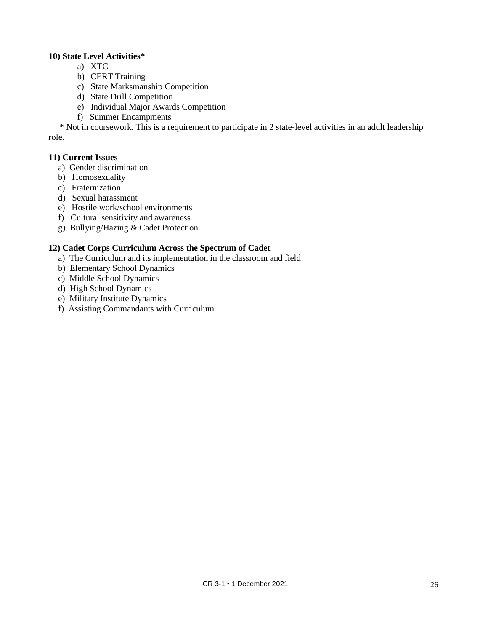## **10) State Level Activities\***

- a) XTC
- b) CERT Training
- c) State Marksmanship Competition
- d) State Drill Competition
- e) Individual Major Awards Competition
- f) Summer Encampments

 \* Not in coursework. This is a requirement to participate in 2 state-level activities in an adult leadership role.

## **11) Current Issues**

- a) Gender discrimination
- b) Homosexuality
- c) Fraternization
- d) Sexual harassment
- e) Hostile work/school environments
- f) Cultural sensitivity and awareness
- g) Bullying/Hazing & Cadet Protection

## **12) Cadet Corps Curriculum Across the Spectrum of Cadet**

- a) The Curriculum and its implementation in the classroom and field
- b) Elementary School Dynamics
- c) Middle School Dynamics
- d) High School Dynamics
- e) Military Institute Dynamics
- f) Assisting Commandants with Curriculum